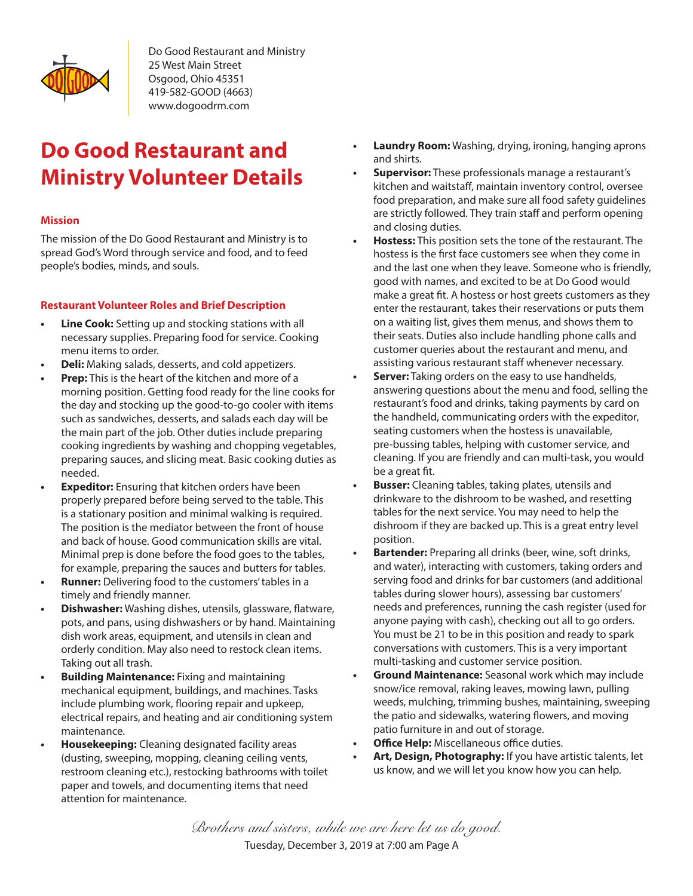

Do Good Restaurant and Ministry 25 West Main Street Osgood, Ohio 45351 419-582-GOOD (4663) www.dogoodrm.com

# **Do Good Restaurant and Ministry Volunteer Details**

# **Mission**

The mission of the Do Good Restaurant and Ministry is to spread God's Word through service and food, and to feed people's bodies, minds, and souls.

# **Restaurant Volunteer Roles and Brief Description**

- **• Line Cook:** Setting up and stocking stations with all necessary supplies. Preparing food for service. Cooking menu items to order.
- **• Deli:** Making salads, desserts, and cold appetizers.
- **• Prep:** This is the heart of the kitchen and more of a morning position. Getting food ready for the line cooks for the day and stocking up the good-to-go cooler with items such as sandwiches, desserts, and salads each day will be the main part of the job. Other duties include preparing cooking ingredients by washing and chopping vegetables, preparing sauces, and slicing meat. Basic cooking duties as needed.
- **Expeditor:** Ensuring that kitchen orders have been properly prepared before being served to the table. This is a stationary position and minimal walking is required. The position is the mediator between the front of house and back of house. Good communication skills are vital. Minimal prep is done before the food goes to the tables, for example, preparing the sauces and butters for tables.
- **• Runner:** Delivering food to the customers' tables in a timely and friendly manner.
- **• Dishwasher:** Washing dishes, utensils, glassware, flatware, pots, and pans, using dishwashers or by hand. Maintaining dish work areas, equipment, and utensils in clean and orderly condition. May also need to restock clean items. Taking out all trash.
- **• Building Maintenance:** Fixing and maintaining mechanical equipment, buildings, and machines. Tasks include plumbing work, flooring repair and upkeep, electrical repairs, and heating and air conditioning system maintenance.
- **• Housekeeping:** Cleaning designated facility areas (dusting, sweeping, mopping, cleaning ceiling vents, restroom cleaning etc.), restocking bathrooms with toilet paper and towels, and documenting items that need attention for maintenance.
- **• Laundry Room:** Washing, drying, ironing, hanging aprons and shirts.
- **• Supervisor:** These professionals manage a restaurant's kitchen and waitstaff, maintain inventory control, oversee food preparation, and make sure all food safety guidelines are strictly followed. They train staff and perform opening and closing duties.
- **• Hostess:** This position sets the tone of the restaurant. The hostess is the first face customers see when they come in and the last one when they leave. Someone who is friendly, good with names, and excited to be at Do Good would make a great fit. A hostess or host greets customers as they enter the restaurant, takes their reservations or puts them on a waiting list, gives them menus, and shows them to their seats. Duties also include handling phone calls and customer queries about the restaurant and menu, and assisting various restaurant staff whenever necessary.
- **• Server:** Taking orders on the easy to use handhelds, answering questions about the menu and food, selling the restaurant's food and drinks, taking payments by card on the handheld, communicating orders with the expeditor, seating customers when the hostess is unavailable, pre-bussing tables, helping with customer service, and cleaning. If you are friendly and can multi-task, you would be a great fit.
- **• Busser:** Cleaning tables, taking plates, utensils and drinkware to the dishroom to be washed, and resetting tables for the next service. You may need to help the dishroom if they are backed up. This is a great entry level position.
- **• Bartender:** Preparing all drinks (beer, wine, soft drinks, and water), interacting with customers, taking orders and serving food and drinks for bar customers (and additional tables during slower hours), assessing bar customers' needs and preferences, running the cash register (used for anyone paying with cash), checking out all to go orders. You must be 21 to be in this position and ready to spark conversations with customers. This is a very important multi-tasking and customer service position.
- **• Ground Maintenance:** Seasonal work which may include snow/ice removal, raking leaves, mowing lawn, pulling weeds, mulching, trimming bushes, maintaining, sweeping the patio and sidewalks, watering flowers, and moving patio furniture in and out of storage.
- **• Office Help:** Miscellaneous office duties.
- **• Art, Design, Photography:** If you have artistic talents, let us know, and we will let you know how you can help.

*Brothers and sisters, while we are here let us do good.* Tuesday, December 3, 2019 at 7:00 am Page A